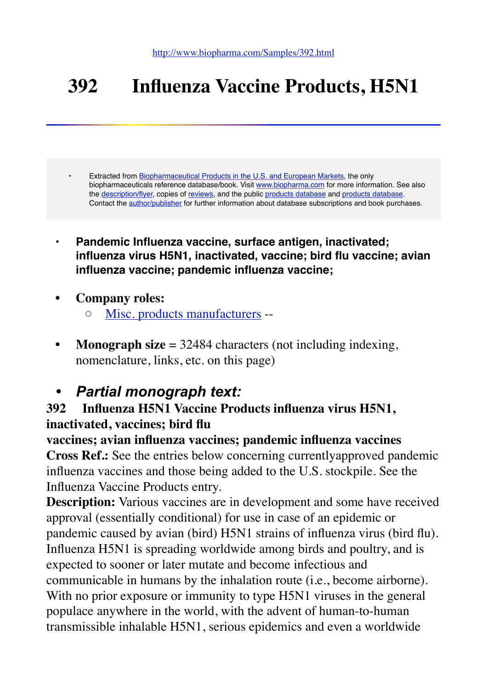# **392 Influenza Vaccine Products, H5N1**

• Extracted from [Biopharmaceutical Products in the U.S. and European Markets](http://www.biopharma.com/), the only biopharmaceuticals reference database/book. Visit [www.biopharma.com](http://www.biopharma.com/) for more information. See also the [description/flyer,](http://www.biopharma.com/biopharma7.html) copies of [reviews,](http://www.biopharma.com/reviews.html) and the public [products database](http://208.69.231.70/biopharma/biopharma7.lasso?&-token=none&S=samp&-nothing) and [products database](http://208.69.231.70/biopharma/comp_search7.lasso?&-token=none&S=samp&-nothing). Contact the [author/publisher](http://208.69.231.70/biopharma/mail_form.lasso) for further information about database subscriptions and book purchases.

- **• Pandemic Influenza vaccine, surface antigen, inactivated; influenza virus H5N1, inactivated, vaccine; bird flu vaccine; avian influenza vaccine; pandemic influenza vaccine;**
- **• Company roles:**
	- [Misc. products manufacturers](http://208.69.231.70/biopharma/comp_full7.lasso?LicenseNumber=9999&S=samp&-token=none&-nothing) --
- **Monograph size** = 32484 characters (not including indexing, nomenclature, links, etc. on this page)

# *• Partial monograph text:*

# **392 Influenza H5N1 Vaccine Products influenza virus H5N1, inactivated, vaccines; bird flu**

**vaccines; avian influenza vaccines; pandemic influenza vaccines**

**Cross Ref.:** See the entries below concerning currentlyapproved pandemic influenza vaccines and those being added to the U.S. stockpile. See the Influenza Vaccine Products entry.

**Description:** Various vaccines are in development and some have received approval (essentially conditional) for use in case of an epidemic or pandemic caused by avian (bird) H5N1 strains of influenza virus (bird flu). Influenza H5N1 is spreading worldwide among birds and poultry, and is expected to sooner or later mutate and become infectious and communicable in humans by the inhalation route (i.e., become airborne). With no prior exposure or immunity to type H5N1 viruses in the general populace anywhere in the world, with the advent of human-to-human transmissible inhalable H5N1, serious epidemics and even a worldwide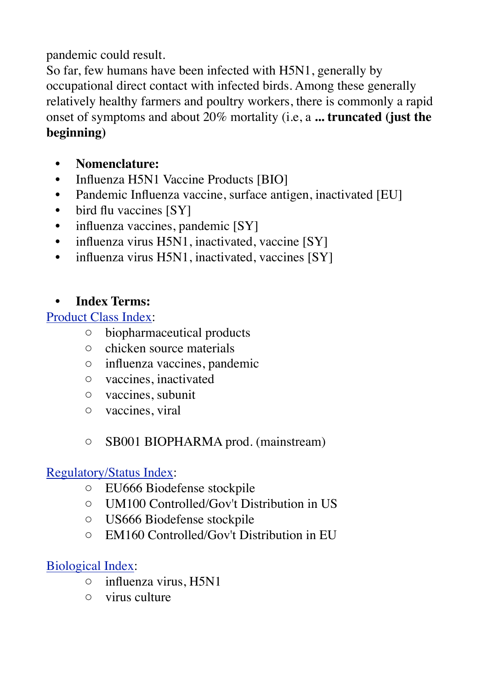### pandemic could result.

So far, few humans have been infected with H5N1, generally by occupational direct contact with infected birds. Among these generally relatively healthy farmers and poultry workers, there is commonly a rapid onset of symptoms and about 20% mortality (i.e, a **... truncated (just the beginning)**

- **• Nomenclature:**
- Influenza H5N1 Vaccine Products [BIO]
- Pandemic Influenza vaccine, surface antigen, inactivated [EU]
- bird flu vaccines [SY]
- influenza vaccines, pandemic [SY]
- influenza virus H5N1, inactivated, vaccine [SY]
- influenza virus H5N1, inactivated, vaccines [SY]

### **• Index Terms:**

[Product Class Index:](http://www.biopharma.com/class_terms7.html)

- biopharmaceutical products
- chicken source materials
- influenza vaccines, pandemic
- vaccines, inactivated
- vaccines, subunit
- vaccines, viral

### ◦ SB001 BIOPHARMA prod. (mainstream)

### [Regulatory/Status Index:](http://www.biopharma.com/reg_terms7.html)

- EU666 Biodefense stockpile
- UM100 Controlled/Gov't Distribution in US
- US666 Biodefense stockpile
- EM160 Controlled/Gov't Distribution in EU

# [Biological Index:](http://www.biopharma.com/biol_terms7.html)

- influenza virus, H5N1
- virus culture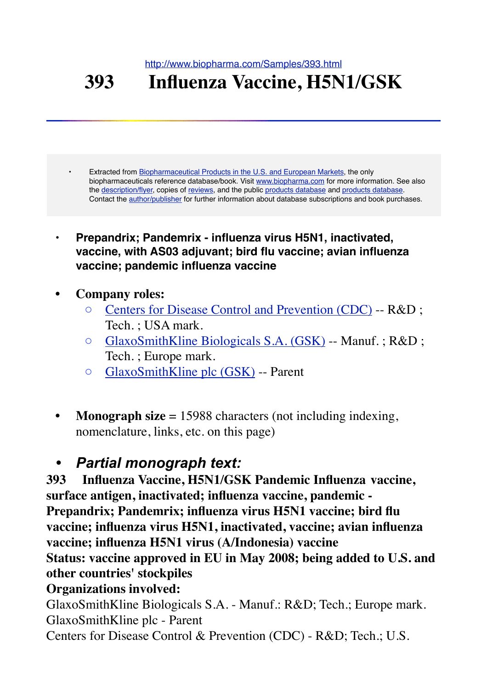<http://www.biopharma.com/Samples/393.html>

# **393 Influenza Vaccine, H5N1/GSK**

Extracted from [Biopharmaceutical Products in the U.S. and European Markets](http://www.biopharma.com/), the only biopharmaceuticals reference database/book. Visit [www.biopharma.com](http://www.biopharma.com/) for more information. See also the [description/flyer,](http://www.biopharma.com/biopharma7.html) copies of [reviews,](http://www.biopharma.com/reviews.html) and the public [products database](http://208.69.231.70/biopharma/comp_search7.lasso?&-token=none&S=samp&-nothing) and products database. Contact the [author/publisher](http://208.69.231.70/biopharma/mail_form.lasso) for further information about database subscriptions and book purchases.

- **• Prepandrix; Pandemrix influenza virus H5N1, inactivated, vaccine, with AS03 adjuvant; bird flu vaccine; avian influenza vaccine; pandemic influenza vaccine**
- **• Company roles:**
	- [Centers for Disease Control and Prevention \(CDC\)](http://208.69.231.70/biopharma/comp_full7.lasso?LicenseNumber=9733&S=samp&-token=none&-nothing) -- R&D ; Tech. ; USA mark.
	- [GlaxoSmithKline Biologicals S.A. \(GSK\)](http://208.69.231.70/biopharma/comp_full7.lasso?LicenseNumber=1617&S=samp&-token=none&-nothing) -- Manuf. ; R&D ; Tech. ; Europe mark.
	- [GlaxoSmithKline plc \(GSK\)](http://208.69.231.70/biopharma/comp_full7.lasso?LicenseNumber=9372&S=samp&-token=none&-nothing) -- Parent
- **Monograph size** = 15988 characters (not including indexing, nomenclature, links, etc. on this page)

# *• Partial monograph text:*

**393 Influenza Vaccine, H5N1/GSK Pandemic Influenza vaccine, surface antigen, inactivated; influenza vaccine, pandemic - Prepandrix; Pandemrix; influenza virus H5N1 vaccine; bird flu vaccine; influenza virus H5N1, inactivated, vaccine; avian influenza vaccine; influenza H5N1 virus (A/Indonesia) vaccine Status: vaccine approved in EU in May 2008; being added to U.S. and** 

### **other countries' stockpiles Organizations involved:**

GlaxoSmithKline Biologicals S.A. - Manuf.: R&D; Tech.; Europe mark. GlaxoSmithKline plc - Parent

Centers for Disease Control & Prevention (CDC) - R&D; Tech.; U.S.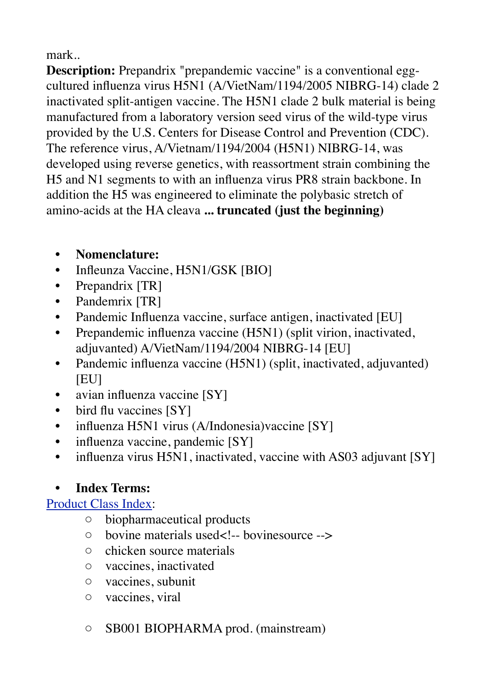mark..

**Description:** Prepandrix "prepandemic vaccine" is a conventional eggcultured influenza virus H5N1 (A/VietNam/1194/2005 NIBRG-14) clade 2 inactivated split-antigen vaccine. The H5N1 clade 2 bulk material is being manufactured from a laboratory version seed virus of the wild-type virus provided by the U.S. Centers for Disease Control and Prevention (CDC). The reference virus, A/Vietnam/1194/2004 (H5N1) NIBRG-14, was developed using reverse genetics, with reassortment strain combining the H5 and N1 segments to with an influenza virus PR8 strain backbone. In addition the H5 was engineered to eliminate the polybasic stretch of amino-acids at the HA cleava **... truncated (just the beginning)**

- **• Nomenclature:**
- Infleunza Vaccine, H5N1/GSK [BIO]
- Prepandrix [TR]
- Pandemrix [TR]
- Pandemic Influenza vaccine, surface antigen, inactivated [EU]
- Prepandemic influenza vaccine (H5N1) (split virion, inactivated, adjuvanted) A/VietNam/1194/2004 NIBRG-14 [EU]
- Pandemic influenza vaccine (H5N1) (split, inactivated, adjuvanted) [EU]
- avian influenza vaccine [SY]
- bird flu vaccines [SY]
- influenza H5N1 virus (A/Indonesia)vaccine [SY]
- influenza vaccine, pandemic [SY]
- influenza virus H5N1, inactivated, vaccine with AS03 adjuvant [SY]

# **• Index Terms:**

# [Product Class Index:](http://www.biopharma.com/class_terms7.html)

- biopharmaceutical products
- bovine materials used<!-- bovinesource -->
- chicken source materials
- vaccines, inactivated
- vaccines, subunit
- vaccines, viral
- SB001 BIOPHARMA prod. (mainstream)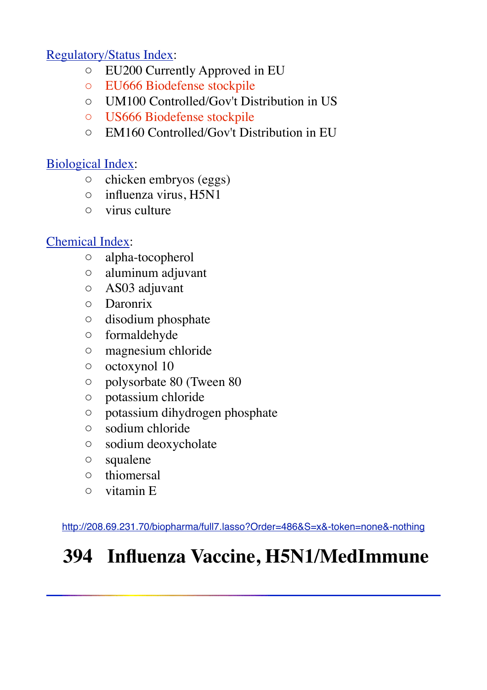# [Regulatory/Status Index:](http://www.biopharma.com/reg_terms7.html)

- EU200 Currently Approved in EU
- EU666 Biodefense stockpile
- UM100 Controlled/Gov't Distribution in US
- US666 Biodefense stockpile
- EM160 Controlled/Gov't Distribution in EU

# [Biological Index:](http://www.biopharma.com/biol_terms7.html)

- chicken embryos (eggs)
- influenza virus, H5N1
- virus culture

# [Chemical Index](http://www.biopharma.com/chem_terms7.html):

- alpha-tocopherol
- aluminum adjuvant
- AS03 adjuvant
- Daronrix
- disodium phosphate
- formaldehyde
- magnesium chloride
- octoxynol 10
- polysorbate 80 (Tween 80
- potassium chloride
- potassium dihydrogen phosphate
- sodium chloride
- sodium deoxycholate
- squalene
- thiomersal
- vitamin E

<http://208.69.231.70/biopharma/full7.lasso?Order=486&S=x&-token=none&-nothing>

# **394 Influenza Vaccine, H5N1/MedImmune**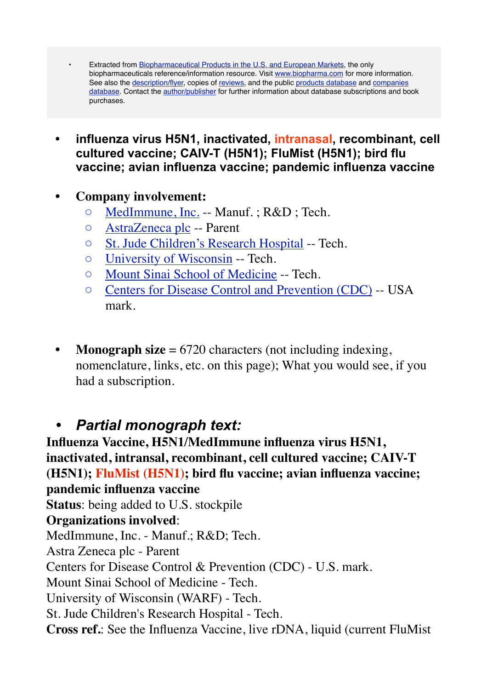- Extracted from [Biopharmaceutical Products in the U.S. and European Markets](http://www.biopharma.com/), the only biopharmaceuticals reference/information resource. Visit [www.biopharma.com](http://www.biopharma.com/) for more information. See also the [description/flyer](http://www.biopharma.com/biopharma7.html), copies of [reviews](http://www.biopharma.com/reviews.html), and the public [products database](http://208.69.231.70/biopharma/biopharma7.lasso?&-token=none&DB_test=DD&S=x&-nothing) and [companies](http://208.69.231.70/biopharma/comp_search7.lasso?&-token=none&DB_test=DD&S=x&-nothing)  [database](http://208.69.231.70/biopharma/comp_search7.lasso?&-token=none&DB_test=DD&S=x&-nothing). Contact the [author/publisher](http://www.biopharma.com/cgi/mail_form.lasso.lasso) for further information about database subscriptions and book purchases.
- **• influenza virus H5N1, inactivated, intranasal, recombinant, cell cultured vaccine; CAIV-T (H5N1); FluMist (H5N1); bird flu vaccine; avian influenza vaccine; pandemic influenza vaccine**
- **• Company involvement:**
	- [MedImmune, Inc.](http://208.69.231.70/biopharma/comp_full7.lasso?LicenseNumber=1252&S=x&-token=none&-nothing) -- Manuf. ; R&D ; Tech.
	- [AstraZeneca plc](http://208.69.231.70/biopharma/comp_full7.lasso?LicenseNumber=3237&S=x&-token=none&-nothing) -- Parent
	- [St. Jude Children's Research Hospital](http://208.69.231.70/biopharma/comp_full7.lasso?LicenseNumber=3434&S=x&-token=none&-nothing) -- Tech.
	- [University of Wisconsin](http://208.69.231.70/biopharma/comp_full7.lasso?LicenseNumber=9345&S=x&-token=none&-nothing) -- Tech.
	- [Mount Sinai School of Medicine](http://208.69.231.70/biopharma/comp_full7.lasso?LicenseNumber=9433&S=x&-token=none&-nothing) -- Tech.
	- [Centers for Disease Control and Prevention \(CDC\)](http://208.69.231.70/biopharma/comp_full7.lasso?LicenseNumber=9733&S=x&-token=none&-nothing) -- USA mark.
- **Monograph size** = 6720 characters (not including indexing, nomenclature, links, etc. on this page); What you would see, if you had a subscription.

# *• Partial monograph text:*

**Influenza Vaccine, H5N1/MedImmune influenza virus H5N1, inactivated, intransal, recombinant, cell cultured vaccine; CAIV-T (H5N1); FluMist (H5N1); bird flu vaccine; avian influenza vaccine; pandemic influenza vaccine Status**: being added to U.S. stockpile **Organizations involved**: MedImmune, Inc. - Manuf.; R&D; Tech. Astra Zeneca plc - Parent Centers for Disease Control & Prevention (CDC) - U.S. mark. Mount Sinai School of Medicine - Tech. University of Wisconsin (WARF) - Tech. St. Jude Children's Research Hospital - Tech. **Cross ref.**: See the Influenza Vaccine, live rDNA, liquid (current FluMist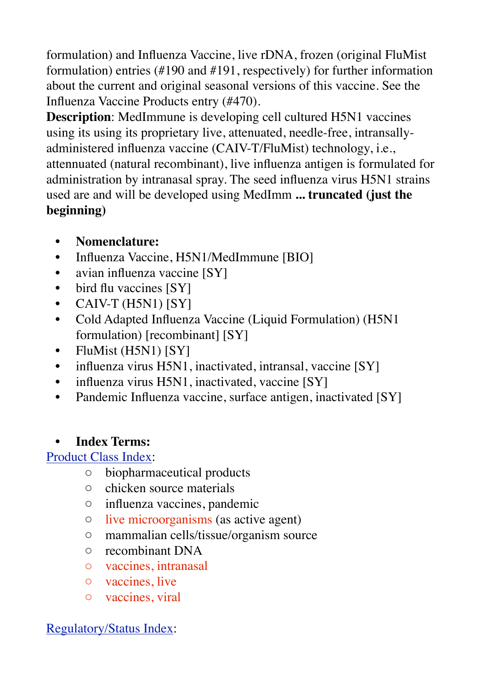formulation) and Influenza Vaccine, live rDNA, frozen (original FluMist formulation) entries (#190 and #191, respectively) for further information about the current and original seasonal versions of this vaccine. See the Influenza Vaccine Products entry (#470).

**Description**: MedImmune is developing cell cultured H5N1 vaccines using its using its proprietary live, attenuated, needle-free, intransallyadministered influenza vaccine (CAIV-T/FluMist) technology, i.e., attennuated (natural recombinant), live influenza antigen is formulated for administration by intranasal spray. The seed influenza virus H5N1 strains used are and will be developed using MedImm **... truncated (just the beginning)**

- **• Nomenclature:**
- Influenza Vaccine, H5N1/MedImmune [BIO]
- avian influenza vaccine [SY]
- bird flu vaccines [SY]
- CAIV-T (H5N1) [SY]
- Cold Adapted Influenza Vaccine (Liquid Formulation) (H5N1 formulation) [recombinant] [SY]
- FluMist (H5N1) [SY]
- influenza virus H5N1, inactivated, intransal, vaccine [SY]
- influenza virus H5N1, inactivated, vaccine [SY]
- Pandemic Influenza vaccine, surface antigen, inactivated [SY]

# **• Index Terms:**

# [Product Class Index:](http://www.biopharma.com/class_terms7.html)

- biopharmaceutical products
- chicken source materials
- influenza vaccines, pandemic
- live microorganisms (as active agent)
- mammalian cells/tissue/organism source
- recombinant DNA
- vaccines, intranasal
- vaccines, live
- vaccines, viral

# [Regulatory/Status Index:](http://www.biopharma.com/reg_terms7.html)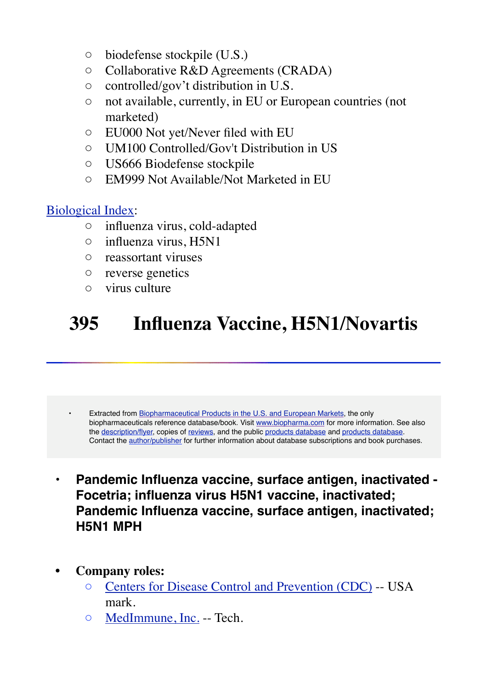- biodefense stockpile (U.S.)
- Collaborative R&D Agreements (CRADA)
- controlled/gov't distribution in U.S.
- not available, currently, in EU or European countries (not marketed)
- EU000 Not yet/Never filed with EU
- UM100 Controlled/Gov't Distribution in US
- US666 Biodefense stockpile
- EM999 Not Available/Not Marketed in EU

### [Biological Index:](http://www.biopharma.com/biol_terms7.html)

- influenza virus, cold-adapted
- influenza virus, H5N1
- reassortant viruses
- reverse genetics
- virus culture

# **395 Influenza Vaccine, H5N1/Novartis**

Extracted from [Biopharmaceutical Products in the U.S. and European Markets](http://www.biopharma.com/), the only biopharmaceuticals reference database/book. Visit [www.biopharma.com](http://www.biopharma.com/) for more information. See also the [description/flyer,](http://www.biopharma.com/biopharma7.html) copies of [reviews,](http://www.biopharma.com/reviews.html) and the public [products database](http://208.69.231.70/biopharma/biopharma7.lasso?&-token=none&S=samp&-nothing) and [products database](http://208.69.231.70/biopharma/comp_search7.lasso?&-token=none&S=samp&-nothing). Contact the [author/publisher](http://208.69.231.70/biopharma/mail_form.lasso) for further information about database subscriptions and book purchases.

- **• Pandemic Influenza vaccine, surface antigen, inactivated Focetria; influenza virus H5N1 vaccine, inactivated; Pandemic Influenza vaccine, surface antigen, inactivated; H5N1 MPH**
- **• Company roles:**
	- [Centers for Disease Control and Prevention \(CDC\)](http://208.69.231.70/biopharma/comp_full7.lasso?LicenseNumber=9733&S=samp&-token=none&-nothing) -- USA mark.
	- [MedImmune, Inc.](http://208.69.231.70/biopharma/comp_full7.lasso?LicenseNumber=1252&S=samp&-token=none&-nothing) -- Tech.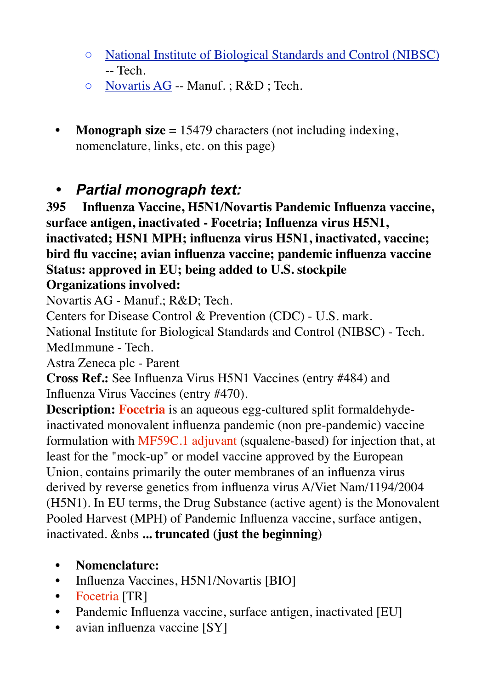- [National Institute of Biological Standards and Control \(NIBSC\)](http://208.69.231.70/biopharma/comp_full7.lasso?LicenseNumber=9225&S=samp&-token=none&-nothing) -- Tech.
- [Novartis AG](http://208.69.231.70/biopharma/comp_full7.lasso?LicenseNumber=9465&S=samp&-token=none&-nothing) -- Manuf. ; R&D ; Tech.
- **• Monograph size** = 15479 characters (not including indexing, nomenclature, links, etc. on this page)

# *• Partial monograph text:*

**395 Influenza Vaccine, H5N1/Novartis Pandemic Influenza vaccine, surface antigen, inactivated - Focetria; Influenza virus H5N1, inactivated; H5N1 MPH; influenza virus H5N1, inactivated, vaccine; bird flu vaccine; avian influenza vaccine; pandemic influenza vaccine Status: approved in EU; being added to U.S. stockpile**

# **Organizations involved:**

Novartis AG - Manuf.; R&D; Tech.

Centers for Disease Control & Prevention (CDC) - U.S. mark.

National Institute for Biological Standards and Control (NIBSC) - Tech. MedImmune - Tech.

Astra Zeneca plc - Parent

**Cross Ref.:** See Influenza Virus H5N1 Vaccines (entry #484) and Influenza Virus Vaccines (entry #470).

**Description: Focetria** is an aqueous egg-cultured split formaldehydeinactivated monovalent influenza pandemic (non pre-pandemic) vaccine formulation with MF59C.1 adjuvant (squalene-based) for injection that, at least for the "mock-up" or model vaccine approved by the European Union, contains primarily the outer membranes of an influenza virus derived by reverse genetics from influenza virus A/Viet Nam/1194/2004 (H5N1). In EU terms, the Drug Substance (active agent) is the Monovalent Pooled Harvest (MPH) of Pandemic Influenza vaccine, surface antigen, inactivated. &nbs **... truncated (just the beginning)**

- **• Nomenclature:**
- Influenza Vaccines, H5N1/Novartis [BIO]
- Focetria [TR]
- Pandemic Influenza vaccine, surface antigen, inactivated [EU]
- avian influenza vaccine [SY]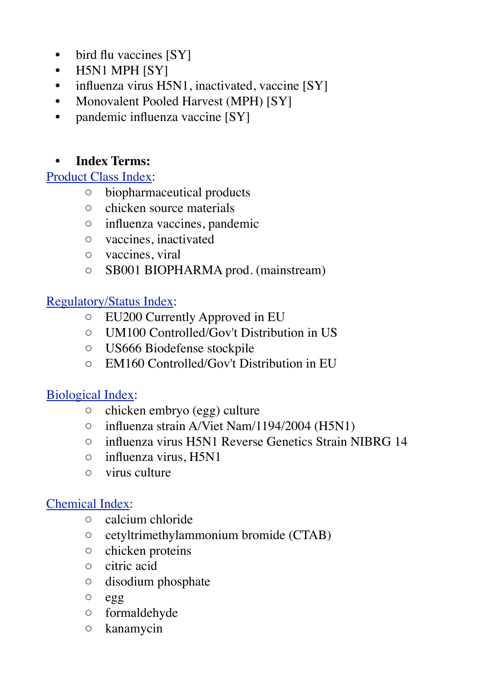- bird flu vaccines [SY]
- H5N1 MPH [SY]
- influenza virus H5N1, inactivated, vaccine [SY]
- Monovalent Pooled Harvest (MPH) [SY]
- pandemic influenza vaccine [SY]

# **• Index Terms:**

### [Product Class Index:](http://www.biopharma.com/class_terms7.html)

- biopharmaceutical products
- chicken source materials
- influenza vaccines, pandemic
- vaccines, inactivated
- vaccines, viral
- SB001 BIOPHARMA prod. (mainstream)

### [Regulatory/Status Index:](http://www.biopharma.com/reg_terms7.html)

- EU200 Currently Approved in EU
- UM100 Controlled/Gov't Distribution in US
- US666 Biodefense stockpile
- EM160 Controlled/Gov't Distribution in EU

# [Biological Index:](http://www.biopharma.com/biol_terms7.html)

- chicken embryo (egg) culture
- influenza strain A/Viet Nam/1194/2004 (H5N1)
- influenza virus H5N1 Reverse Genetics Strain NIBRG 14
- influenza virus, H5N1
- virus culture

### [Chemical Index](http://www.biopharma.com/chem_terms7.html):

- calcium chloride
- cetyltrimethylammonium bromide (CTAB)
- chicken proteins
- citric acid
- disodium phosphate
- egg
- formaldehyde
- kanamycin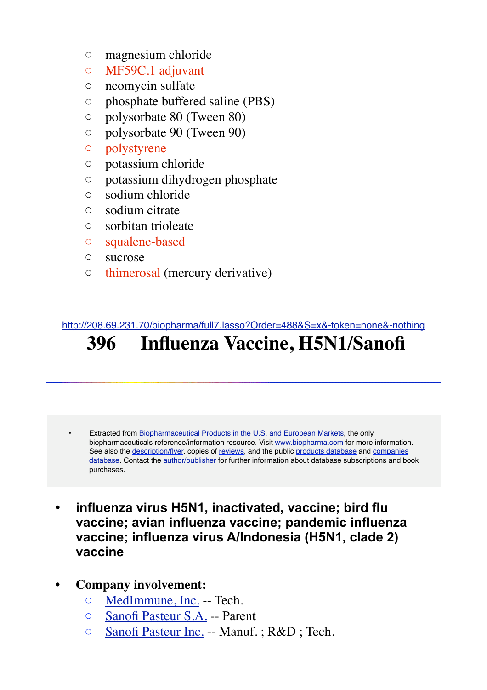- magnesium chloride
- MF59C.1 adjuvant
- neomycin sulfate
- phosphate buffered saline (PBS)
- polysorbate 80 (Tween 80)
- polysorbate 90 (Tween 90)
- polystyrene
- potassium chloride
- potassium dihydrogen phosphate
- sodium chloride
- sodium citrate
- sorbitan trioleate
- squalene-based
- sucrose
- thimerosal (mercury derivative)

#### <http://208.69.231.70/biopharma/full7.lasso?Order=488&S=x&-token=none&-nothing>

# **396 Influenza Vaccine, H5N1/Sanofi**

- Extracted from [Biopharmaceutical Products in the U.S. and European Markets](http://www.biopharma.com/), the only biopharmaceuticals reference/information resource. Visit [www.biopharma.com](http://www.biopharma.com/) for more information. See also the [description/flyer](http://www.biopharma.com/biopharma7.html), copies of [reviews](http://www.biopharma.com/reviews.html), and the public [products database](http://208.69.231.70/biopharma/biopharma7.lasso?&-token=none&DB_test=DD&S=x&-nothing) and companies [database](http://208.69.231.70/biopharma/comp_search7.lasso?&-token=none&DB_test=DD&S=x&-nothing). Contact the [author/publisher](http://www.biopharma.com/cgi/mail_form.lasso.lasso) for further information about database subscriptions and book purchases.
- **• influenza virus H5N1, inactivated, vaccine; bird flu vaccine; avian influenza vaccine; pandemic influenza vaccine; influenza virus A/Indonesia (H5N1, clade 2) vaccine**
- **• Company involvement:**
	- [MedImmune, Inc.](http://208.69.231.70/biopharma/comp_full7.lasso?LicenseNumber=1252&S=x&-token=none&-nothing) -- Tech.
	- [Sanofi Pasteur S.A.](http://208.69.231.70/biopharma/comp_full7.lasso?LicenseNumber=1724&S=x&-token=none&-nothing) -- Parent
	- [Sanofi Pasteur Inc.](http://208.69.231.70/biopharma/comp_full7.lasso?LicenseNumber=1725&S=x&-token=none&-nothing) -- Manuf. ; R&D ; Tech.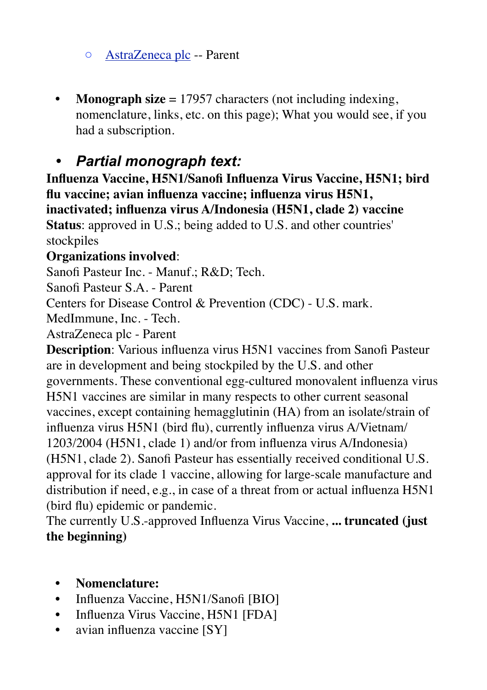◦ [AstraZeneca plc](http://208.69.231.70/biopharma/comp_full7.lasso?LicenseNumber=3237&S=x&-token=none&-nothing) -- Parent

• **Monograph size** = 17957 characters (not including indexing, nomenclature, links, etc. on this page); What you would see, if you had a subscription.

# *• Partial monograph text:*

**Influenza Vaccine, H5N1/Sanofi Influenza Virus Vaccine, H5N1; bird flu vaccine; avian influenza vaccine; influenza virus H5N1, inactivated; influenza virus A/Indonesia (H5N1, clade 2) vaccine Status**: approved in U.S.; being added to U.S. and other countries' stockpiles

### **Organizations involved**:

Sanofi Pasteur Inc. - Manuf.; R&D; Tech.

Sanofi Pasteur S.A. - Parent

Centers for Disease Control & Prevention (CDC) - U.S. mark.

MedImmune, Inc. - Tech.

AstraZeneca plc - Parent

**Description**: Various influenza virus H5N1 vaccines from Sanofi Pasteur are in development and being stockpiled by the U.S. and other governments. These conventional egg-cultured monovalent influenza virus H5N1 vaccines are similar in many respects to other current seasonal vaccines, except containing hemagglutinin (HA) from an isolate/strain of influenza virus H5N1 (bird flu), currently influenza virus A/Vietnam/ 1203/2004 (H5N1, clade 1) and/or from influenza virus A/Indonesia) (H5N1, clade 2). Sanofi Pasteur has essentially received conditional U.S. approval for its clade 1 vaccine, allowing for large-scale manufacture and distribution if need, e.g., in case of a threat from or actual influenza H5N1 (bird flu) epidemic or pandemic.

The currently U.S.-approved Influenza Virus Vaccine, **... truncated (just the beginning)**

- **• Nomenclature:**
- Influenza Vaccine, H5N1/Sanofi [BIO]
- Influenza Virus Vaccine, H5N1 [FDA]
- avian influenza vaccine [SY]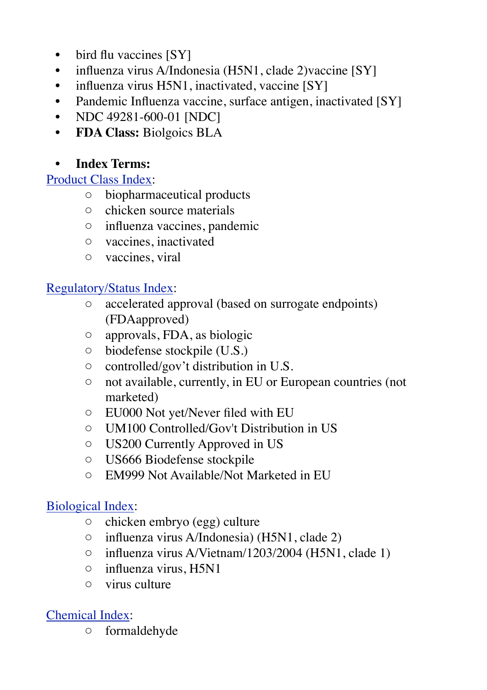- bird flu vaccines [SY]
- influenza virus A/Indonesia (H5N1, clade 2)vaccine [SY]
- influenza virus  $H5N1$ , inactivated, vaccine  $[SY]$
- Pandemic Influenza vaccine, surface antigen, inactivated [SY]
- NDC 49281-600-01 [NDC]
- **• FDA Class:** Biolgoics BLA

# **• Index Terms:**

# [Product Class Index:](http://www.biopharma.com/class_terms7.html)

- biopharmaceutical products
- chicken source materials
- influenza vaccines, pandemic
- vaccines, inactivated
- vaccines, viral

# [Regulatory/Status Index:](http://www.biopharma.com/reg_terms7.html)

- accelerated approval (based on surrogate endpoints) (FDAapproved)
- approvals, FDA, as biologic
- biodefense stockpile (U.S.)
- controlled/gov't distribution in U.S.
- not available, currently, in EU or European countries (not marketed)
- EU000 Not yet/Never filed with EU
- UM100 Controlled/Gov't Distribution in US
- US200 Currently Approved in US
- US666 Biodefense stockpile
- EM999 Not Available/Not Marketed in EU

# [Biological Index:](http://www.biopharma.com/biol_terms7.html)

- chicken embryo (egg) culture
- influenza virus A/Indonesia) (H5N1, clade 2)
- influenza virus A/Vietnam/1203/2004 (H5N1, clade 1)
- influenza virus, H5N1
- virus culture

# [Chemical Index](http://www.biopharma.com/chem_terms7.html):

◦ formaldehyde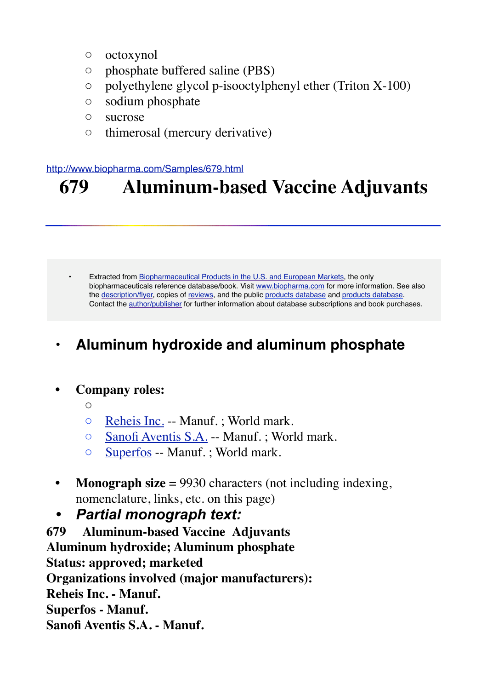- octoxynol
- phosphate buffered saline (PBS)
- polyethylene glycol p-isooctylphenyl ether (Triton X-100)
- sodium phosphate
- sucrose
- thimerosal (mercury derivative)

#### <http://www.biopharma.com/Samples/679.html>

# **679 Aluminum-based Vaccine Adjuvants**

Extracted from [Biopharmaceutical Products in the U.S. and European Markets](http://www.biopharma.com/), the only biopharmaceuticals reference database/book. Visit [www.biopharma.com](http://www.biopharma.com/) for more information. See also the [description/flyer,](http://www.biopharma.com/biopharma7.html) copies of [reviews,](http://www.biopharma.com/reviews.html) and the public [products database](http://208.69.231.70/biopharma/comp_search7.lasso?&-token=none&S=samp&-nothing) and products database. Contact the [author/publisher](http://208.69.231.70/biopharma/mail_form.lasso) for further information about database subscriptions and book purchases.

# **• Aluminum hydroxide and aluminum phosphate**

### **• Company roles:**

- $\bigcirc$
- [Reheis Inc.](http://208.69.231.70/biopharma/comp_full7.lasso?LicenseNumber=9419&S=samp&-token=none&-nothing) -- Manuf. ; World mark.
- [Sanofi Aventis S.A.](http://208.69.231.70/biopharma/comp_full7.lasso?LicenseNumber=9826&S=samp&-token=none&-nothing) -- Manuf. ; World mark.
- [Superfos](http://208.69.231.70/biopharma/comp_full7.lasso?LicenseNumber=9486&S=samp&-token=none&-nothing) -- Manuf. ; World mark.
- **Monograph size** = 9930 characters (not including indexing, nomenclature, links, etc. on this page)
- *• Partial monograph text:*
- **679 Aluminum-based Vaccine Adjuvants**

**Aluminum hydroxide; Aluminum phosphate**

**Status: approved; marketed Organizations involved (major manufacturers):**

**Reheis Inc. - Manuf.**

**Superfos - Manuf.**

**Sanofi Aventis S.A. - Manuf.**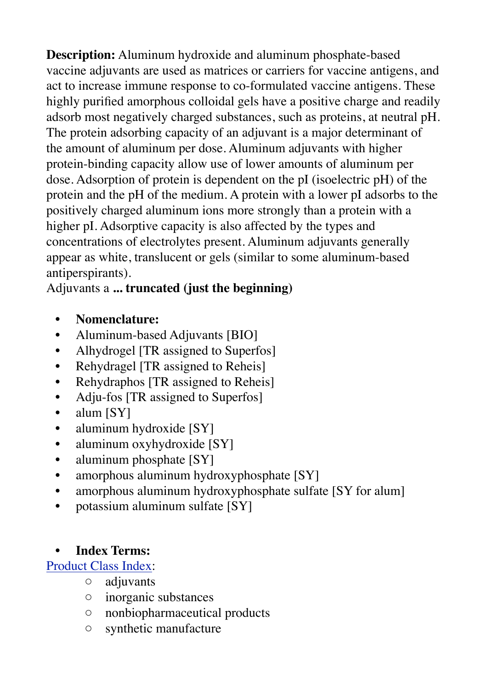**Description:** Aluminum hydroxide and aluminum phosphate-based vaccine adjuvants are used as matrices or carriers for vaccine antigens, and act to increase immune response to co-formulated vaccine antigens. These highly purified amorphous colloidal gels have a positive charge and readily adsorb most negatively charged substances, such as proteins, at neutral pH. The protein adsorbing capacity of an adjuvant is a major determinant of the amount of aluminum per dose. Aluminum adjuvants with higher protein-binding capacity allow use of lower amounts of aluminum per dose. Adsorption of protein is dependent on the pI (isoelectric pH) of the protein and the pH of the medium. A protein with a lower pI adsorbs to the positively charged aluminum ions more strongly than a protein with a higher pI. Adsorptive capacity is also affected by the types and concentrations of electrolytes present. Aluminum adjuvants generally appear as white, translucent or gels (similar to some aluminum-based antiperspirants).

Adjuvants a **... truncated (just the beginning)**

- **• Nomenclature:**
- Aluminum-based Adjuvants [BIO]
- Alhydrogel [TR assigned to Superfos]
- Rehydragel [TR assigned to Reheis]
- Rehydraphos [TR assigned to Reheis]
- Adju-fos [TR assigned to Superfos]
- alum [SY]
- aluminum hydroxide [SY]
- aluminum oxyhydroxide [SY]
- aluminum phosphate [SY]
- amorphous aluminum hydroxyphosphate [SY]
- amorphous aluminum hydroxyphosphate sulfate [SY for alum]
- potassium aluminum sulfate [SY]

# **• Index Terms:**

# [Product Class Index:](http://www.biopharma.com/class_terms7.html)

- adjuvants
- inorganic substances
- nonbiopharmaceutical products
- synthetic manufacture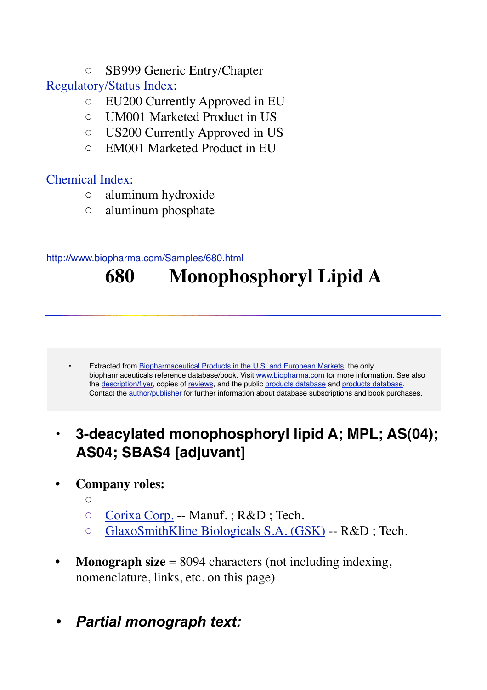◦ SB999 Generic Entry/Chapter

[Regulatory/Status Index:](http://www.biopharma.com/reg_terms7.html)

- EU200 Currently Approved in EU
- UM001 Marketed Product in US
- US200 Currently Approved in US
- EM001 Marketed Product in EU

# [Chemical Index](http://www.biopharma.com/chem_terms7.html):

- aluminum hydroxide
- aluminum phosphate

### <http://www.biopharma.com/Samples/680.html>

# **680 Monophosphoryl Lipid A**

Extracted from [Biopharmaceutical Products in the U.S. and European Markets](http://www.biopharma.com/), the only biopharmaceuticals reference database/book. Visit [www.biopharma.com](http://www.biopharma.com/) for more information. See also the [description/flyer,](http://www.biopharma.com/biopharma7.html) copies of [reviews,](http://www.biopharma.com/reviews.html) and the public [products database](http://208.69.231.70/biopharma/comp_search7.lasso?&-token=none&S=samp&-nothing) and products database. Contact the [author/publisher](http://208.69.231.70/biopharma/mail_form.lasso) for further information about database subscriptions and book purchases.

# **• 3-deacylated monophosphoryl lipid A; MPL; AS(04); AS04; SBAS4 [adjuvant]**

# **• Company roles:**

- $\bigcap$
- [Corixa Corp.](http://208.69.231.70/biopharma/comp_full7.lasso?LicenseNumber=1614&S=samp&-token=none&-nothing) -- Manuf. ; R&D ; Tech.
- [GlaxoSmithKline Biologicals S.A. \(GSK\)](http://208.69.231.70/biopharma/comp_full7.lasso?LicenseNumber=1617&S=samp&-token=none&-nothing) -- R&D ; Tech.
- **Monograph size** = 8094 characters (not including indexing, nomenclature, links, etc. on this page)
- *• Partial monograph text:*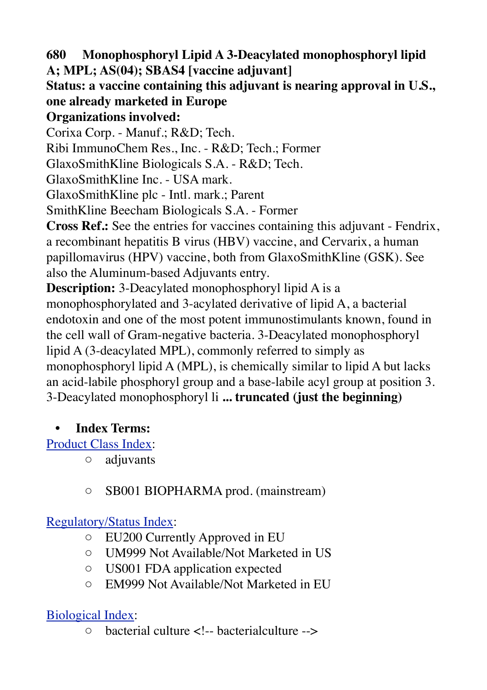**680 Monophosphoryl Lipid A 3-Deacylated monophosphoryl lipid A; MPL; AS(04); SBAS4 [vaccine adjuvant]**

# **Status: a vaccine containing this adjuvant is nearing approval in U.S., one already marketed in Europe**

# **Organizations involved:**

Corixa Corp. - Manuf.; R&D; Tech.

Ribi ImmunoChem Res., Inc. - R&D; Tech.; Former

GlaxoSmithKline Biologicals S.A. - R&D; Tech.

GlaxoSmithKline Inc. - USA mark.

GlaxoSmithKline plc - Intl. mark.; Parent

SmithKline Beecham Biologicals S.A. - Former

**Cross Ref.:** See the entries for vaccines containing this adjuvant - Fendrix, a recombinant hepatitis B virus (HBV) vaccine, and Cervarix, a human papillomavirus (HPV) vaccine, both from GlaxoSmithKline (GSK). See also the Aluminum-based Adjuvants entry.

**Description:** 3-Deacylated monophosphoryl lipid A is a

monophosphorylated and 3-acylated derivative of lipid A, a bacterial endotoxin and one of the most potent immunostimulants known, found in the cell wall of Gram-negative bacteria. 3-Deacylated monophosphoryl lipid A (3-deacylated MPL), commonly referred to simply as monophosphoryl lipid A (MPL), is chemically similar to lipid A but lacks an acid-labile phosphoryl group and a base-labile acyl group at position 3. 3-Deacylated monophosphoryl li **... truncated (just the beginning)**

# **• Index Terms:**

[Product Class Index:](http://www.biopharma.com/class_terms7.html)

- adjuvants
- SB001 BIOPHARMA prod. (mainstream)

# [Regulatory/Status Index:](http://www.biopharma.com/reg_terms7.html)

- EU200 Currently Approved in EU
- UM999 Not Available/Not Marketed in US
- US001 FDA application expected
- EM999 Not Available/Not Marketed in EU

# [Biological Index:](http://www.biopharma.com/biol_terms7.html)

◦ bacterial culture <!-- bacterialculture -->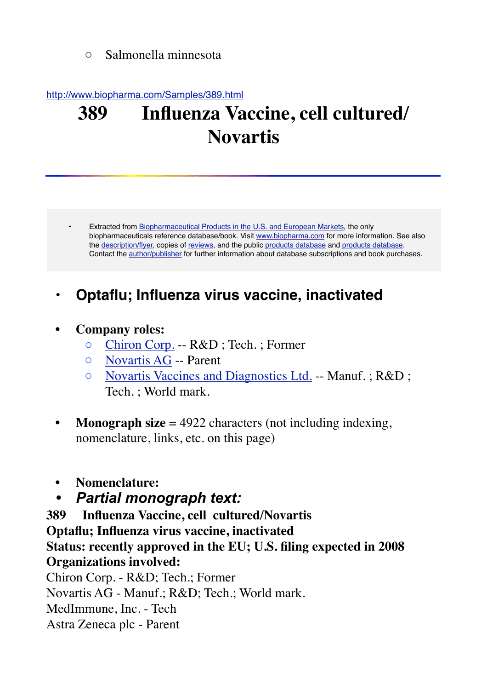◦ Salmonella minnesota

#### <http://www.biopharma.com/Samples/389.html>

# **389 Influenza Vaccine, cell cultured/ Novartis**

• Extracted from [Biopharmaceutical Products in the U.S. and European Markets](http://www.biopharma.com/), the only biopharmaceuticals reference database/book. Visit [www.biopharma.com](http://www.biopharma.com/) for more information. See also the [description/flyer,](http://www.biopharma.com/biopharma7.html) copies of [reviews,](http://www.biopharma.com/reviews.html) and the public [products database](http://208.69.231.70/biopharma/comp_search7.lasso?&-token=none&S=samp&-nothing) and products database. Contact the [author/publisher](http://208.69.231.70/biopharma/mail_form.lasso) for further information about database subscriptions and book purchases.

# **• Optaflu; Influenza virus vaccine, inactivated**

#### **• Company roles:**

- [Chiron Corp.](http://208.69.231.70/biopharma/comp_full7.lasso?LicenseNumber=1106&S=samp&-token=none&-nothing) -- R&D ; Tech. ; Former
- [Novartis AG](http://208.69.231.70/biopharma/comp_full7.lasso?LicenseNumber=9465&S=samp&-token=none&-nothing) -- Parent
- [Novartis Vaccines and Diagnostics Ltd.](http://208.69.231.70/biopharma/comp_full7.lasso?LicenseNumber=1750&S=samp&-token=none&-nothing) -- Manuf. ; R&D ; Tech. ; World mark.
- **Monograph size** = 4922 characters (not including indexing, nomenclature, links, etc. on this page)
- **• Nomenclature:**
- *• Partial monograph text:*

**389 Influenza Vaccine, cell cultured/Novartis Optaflu; Influenza virus vaccine, inactivated Status: recently approved in the EU; U.S. filing expected in 2008 Organizations involved:**

Chiron Corp. - R&D; Tech.; Former Novartis AG - Manuf.; R&D; Tech.; World mark. MedImmune, Inc. - Tech Astra Zeneca plc - Parent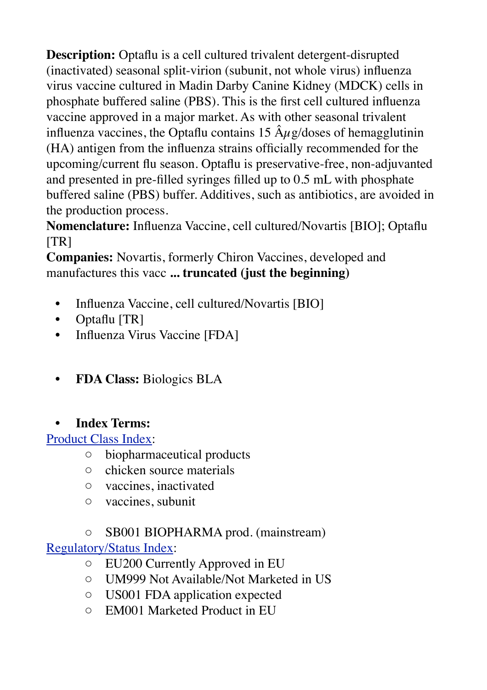**Description:** Optaflu is a cell cultured trivalent detergent-disrupted (inactivated) seasonal split-virion (subunit, not whole virus) influenza virus vaccine cultured in Madin Darby Canine Kidney (MDCK) cells in phosphate buffered saline (PBS). This is the first cell cultured influenza vaccine approved in a major market. As with other seasonal trivalent influenza vaccines, the Optaflu contains 15  $\hat{A}\mu$ g/doses of hemagglutinin (HA) antigen from the influenza strains officially recommended for the upcoming/current flu season. Optaflu is preservative-free, non-adjuvanted and presented in pre-filled syringes filled up to 0.5 mL with phosphate buffered saline (PBS) buffer. Additives, such as antibiotics, are avoided in the production process.

**Nomenclature:** Influenza Vaccine, cell cultured/Novartis [BIO]; Optaflu  $\lfloor TR \rfloor$ 

**Companies:** Novartis, formerly Chiron Vaccines, developed and manufactures this vacc **... truncated (just the beginning)**

- Influenza Vaccine, cell cultured/Novartis [BIO]
- Optaflu [TR]
- Influenza Virus Vaccine [FDA]
- **• FDA Class:** Biologics BLA

# **• Index Terms:**

[Product Class Index:](http://www.biopharma.com/class_terms7.html)

- biopharmaceutical products
- chicken source materials
- vaccines, inactivated
- vaccines, subunit

◦ SB001 BIOPHARMA prod. (mainstream) [Regulatory/Status Index:](http://www.biopharma.com/reg_terms7.html)

- EU200 Currently Approved in EU
- UM999 Not Available/Not Marketed in US
- US001 FDA application expected
- EM001 Marketed Product in EU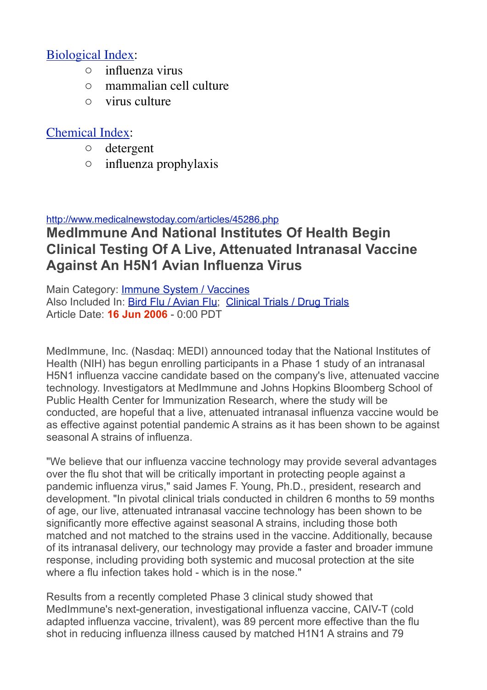### [Biological Index:](http://www.biopharma.com/biol_terms7.html)

- influenza virus
- mammalian cell culture
- virus culture

### [Chemical Index](http://www.biopharma.com/chem_terms7.html):

- detergent
- influenza prophylaxis

#### <http://www.medicalnewstoday.com/articles/45286.php>

# **MedImmune And National Institutes Of Health Begin Clinical Testing Of A Live, Attenuated Intranasal Vaccine Against An H5N1 Avian Influenza Virus**

Main Category: [Immune System / Vaccines](http://www.medicalnewstoday.com/sections/immune_system/) Also Included In: [Bird Flu / Avian Flu](http://www.medicalnewstoday.com/sections/birdflu/); [Clinical Trials / Drug Trials](http://www.medicalnewstoday.com/sections/clinical_trials/) Article Date: **16 Jun 2006** - 0:00 PDT

MedImmune, Inc. (Nasdaq: MEDI) announced today that the National Institutes of Health (NIH) has begun enrolling participants in a Phase 1 study of an intranasal H5N1 influenza vaccine candidate based on the company's live, attenuated vaccine technology. Investigators at MedImmune and Johns Hopkins Bloomberg School of Public Health Center for Immunization Research, where the study will be conducted, are hopeful that a live, attenuated intranasal influenza vaccine would be as effective against potential pandemic A strains as it has been shown to be against seasonal A strains of influenza.

"We believe that our influenza vaccine technology may provide several advantages over the flu shot that will be critically important in protecting people against a pandemic influenza virus," said James F. Young, Ph.D., president, research and development. "In pivotal clinical trials conducted in children 6 months to 59 months of age, our live, attenuated intranasal vaccine technology has been shown to be significantly more effective against seasonal A strains, including those both matched and not matched to the strains used in the vaccine. Additionally, because of its intranasal delivery, our technology may provide a faster and broader immune response, including providing both systemic and mucosal protection at the site where a flu infection takes hold - which is in the nose."

Results from a recently completed Phase 3 clinical study showed that MedImmune's next-generation, investigational influenza vaccine, CAIV-T (cold adapted influenza vaccine, trivalent), was 89 percent more effective than the flu shot in reducing influenza illness caused by matched H1N1 A strains and 79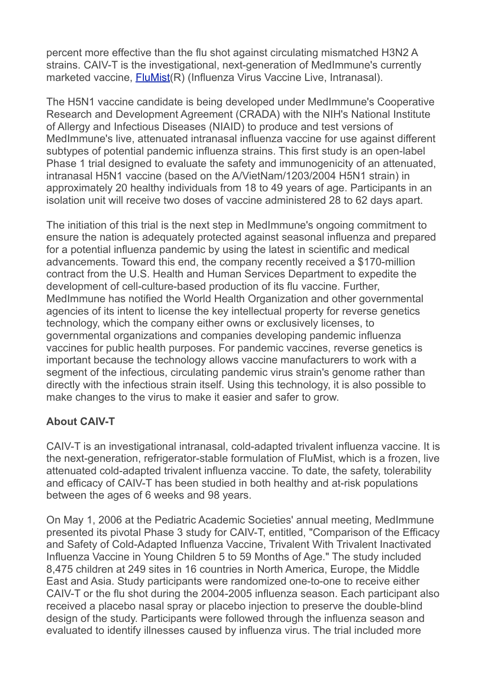percent more effective than the flu shot against circulating mismatched H3N2 A strains. CAIV-T is the investigational, next-generation of MedImmune's currently marketed vaccine, **[FluMist\(](http://www.medilexicon.com/drugs/flumist.php)R)** (Influenza Virus Vaccine Live, Intranasal).

The H5N1 vaccine candidate is being developed under MedImmune's Cooperative Research and Development Agreement (CRADA) with the NIH's National Institute of Allergy and Infectious Diseases (NIAID) to produce and test versions of MedImmune's live, attenuated intranasal influenza vaccine for use against different subtypes of potential pandemic influenza strains. This first study is an open-label Phase 1 trial designed to evaluate the safety and immunogenicity of an attenuated, intranasal H5N1 vaccine (based on the A/VietNam/1203/2004 H5N1 strain) in approximately 20 healthy individuals from 18 to 49 years of age. Participants in an isolation unit will receive two doses of vaccine administered 28 to 62 days apart.

The initiation of this trial is the next step in MedImmune's ongoing commitment to ensure the nation is adequately protected against seasonal influenza and prepared for a potential influenza pandemic by using the latest in scientific and medical advancements. Toward this end, the company recently received a \$170-million contract from the U.S. Health and Human Services Department to expedite the development of cell-culture-based production of its flu vaccine. Further, MedImmune has notified the World Health Organization and other governmental agencies of its intent to license the key intellectual property for reverse genetics technology, which the company either owns or exclusively licenses, to governmental organizations and companies developing pandemic influenza vaccines for public health purposes. For pandemic vaccines, reverse genetics is important because the technology allows vaccine manufacturers to work with a segment of the infectious, circulating pandemic virus strain's genome rather than directly with the infectious strain itself. Using this technology, it is also possible to make changes to the virus to make it easier and safer to grow.

#### **About CAIV-T**

CAIV-T is an investigational intranasal, cold-adapted trivalent influenza vaccine. It is the next-generation, refrigerator-stable formulation of FluMist, which is a frozen, live attenuated cold-adapted trivalent influenza vaccine. To date, the safety, tolerability and efficacy of CAIV-T has been studied in both healthy and at-risk populations between the ages of 6 weeks and 98 years.

On May 1, 2006 at the Pediatric Academic Societies' annual meeting, MedImmune presented its pivotal Phase 3 study for CAIV-T, entitled, "Comparison of the Efficacy and Safety of Cold-Adapted Influenza Vaccine, Trivalent With Trivalent Inactivated Influenza Vaccine in Young Children 5 to 59 Months of Age." The study included 8,475 children at 249 sites in 16 countries in North America, Europe, the Middle East and Asia. Study participants were randomized one-to-one to receive either CAIV-T or the flu shot during the 2004-2005 influenza season. Each participant also received a placebo nasal spray or placebo injection to preserve the double-blind design of the study. Participants were followed through the influenza season and evaluated to identify illnesses caused by influenza virus. The trial included more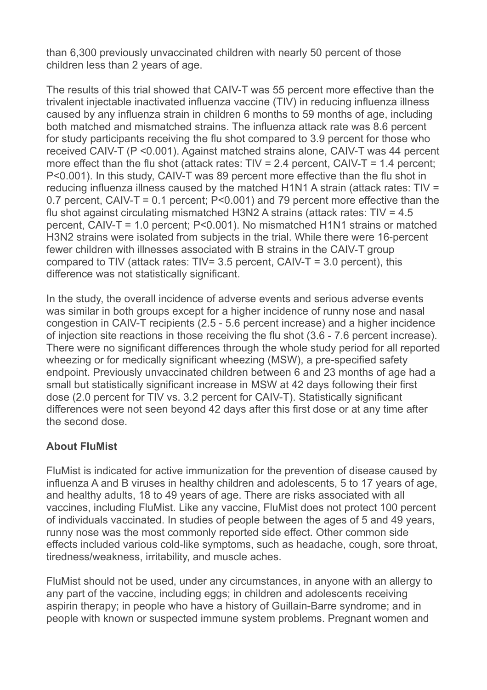than 6,300 previously unvaccinated children with nearly 50 percent of those children less than 2 years of age.

The results of this trial showed that CAIV-T was 55 percent more effective than the trivalent injectable inactivated influenza vaccine (TIV) in reducing influenza illness caused by any influenza strain in children 6 months to 59 months of age, including both matched and mismatched strains. The influenza attack rate was 8.6 percent for study participants receiving the flu shot compared to 3.9 percent for those who received CAIV-T (P <0.001). Against matched strains alone, CAIV-T was 44 percent more effect than the flu shot (attack rates:  $TIV = 2.4$  percent,  $CAIV-T = 1.4$  percent; P<0.001). In this study, CAIV-T was 89 percent more effective than the flu shot in reducing influenza illness caused by the matched H1N1 A strain (attack rates: TIV = 0.7 percent, CAIV-T = 0.1 percent; P<0.001) and 79 percent more effective than the flu shot against circulating mismatched H3N2 A strains (attack rates: TIV = 4.5 percent, CAIV-T = 1.0 percent; P<0.001). No mismatched H1N1 strains or matched H3N2 strains were isolated from subjects in the trial. While there were 16-percent fewer children with illnesses associated with B strains in the CAIV-T group compared to TIV (attack rates:  $TIV = 3.5$  percent,  $CAIV-T = 3.0$  percent), this difference was not statistically significant.

In the study, the overall incidence of adverse events and serious adverse events was similar in both groups except for a higher incidence of runny nose and nasal congestion in CAIV-T recipients (2.5 - 5.6 percent increase) and a higher incidence of injection site reactions in those receiving the flu shot (3.6 - 7.6 percent increase). There were no significant differences through the whole study period for all reported wheezing or for medically significant wheezing (MSW), a pre-specified safety endpoint. Previously unvaccinated children between 6 and 23 months of age had a small but statistically significant increase in MSW at 42 days following their first dose (2.0 percent for TIV vs. 3.2 percent for CAIV-T). Statistically significant differences were not seen beyond 42 days after this first dose or at any time after the second dose.

#### **About FluMist**

FluMist is indicated for active immunization for the prevention of disease caused by influenza A and B viruses in healthy children and adolescents, 5 to 17 years of age, and healthy adults, 18 to 49 years of age. There are risks associated with all vaccines, including FluMist. Like any vaccine, FluMist does not protect 100 percent of individuals vaccinated. In studies of people between the ages of 5 and 49 years, runny nose was the most commonly reported side effect. Other common side effects included various cold-like symptoms, such as headache, cough, sore throat, tiredness/weakness, irritability, and muscle aches.

FluMist should not be used, under any circumstances, in anyone with an allergy to any part of the vaccine, including eggs; in children and adolescents receiving aspirin therapy; in people who have a history of Guillain-Barre syndrome; and in people with known or suspected immune system problems. Pregnant women and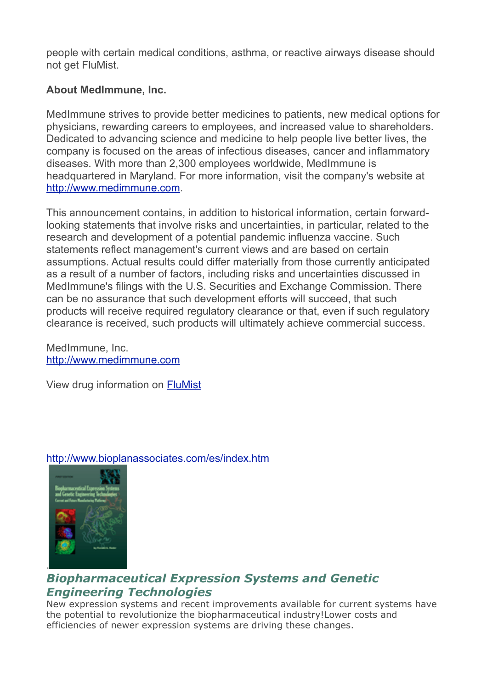people with certain medical conditions, asthma, or reactive airways disease should not get FluMist.

#### **About MedImmune, Inc.**

MedImmune strives to provide better medicines to patients, new medical options for physicians, rewarding careers to employees, and increased value to shareholders. Dedicated to advancing science and medicine to help people live better lives, the company is focused on the areas of infectious diseases, cancer and inflammatory diseases. With more than 2,300 employees worldwide, MedImmune is headquartered in Maryland. For more information, visit the company's website at [http://www.medimmune.com.](http://www.medimmune.com/)

This announcement contains, in addition to historical information, certain forwardlooking statements that involve risks and uncertainties, in particular, related to the research and development of a potential pandemic influenza vaccine. Such statements reflect management's current views and are based on certain assumptions. Actual results could differ materially from those currently anticipated as a result of a number of factors, including risks and uncertainties discussed in MedImmune's filings with the U.S. Securities and Exchange Commission. There can be no assurance that such development efforts will succeed, that such products will receive required regulatory clearance or that, even if such regulatory clearance is received, such products will ultimately achieve commercial success.

MedImmune, Inc. [http://www.medimmune.com](http://www.medimmune.com/)

View drug information on [FluMist](http://www.medilexicon.com/drugs/flumist.php)

#### <http://www.bioplanassociates.com/es/index.htm>



### *Biopharmaceutical Expression Systems and Genetic Engineering Technologies*

New expression systems and recent improvements available for current systems have the potential to revolutionize the biopharmaceutical industry!Lower costs and efficiencies of newer expression systems are driving these changes.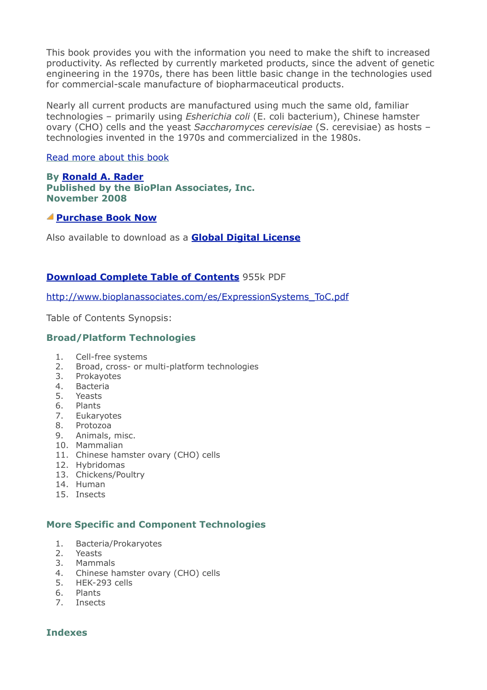This book provides you with the information you need to make the shift to increased productivity. As reflected by currently marketed products, since the advent of genetic engineering in the 1970s, there has been little basic change in the technologies used for commercial-scale manufacture of biopharmaceutical products.

Nearly all current products are manufactured using much the same old, familiar technologies – primarily using *Esherichia coli* (E. coli bacterium), Chinese hamster ovary (CHO) cells and the yeast *Saccharomyces cerevisiae* (S. cerevisiae) as hosts – technologies invented in the 1970s and commercialized in the 1980s.

#### [Read more about this book](http://www.bioplanassociates.com/es/expressionSystems.htm)

**By [Ronald A. Rader](http://www.bioplanassociates.com/es/index.htm#author) Published by the BioPlan Associates, Inc. November 2008**

#### **[Purchase Book Now](http://secure.ultracart.com/cgi-bin/UCEditor?merchantId=BIOPL&ADD=978-1-934106-14-3)**

Also available to download as a **[Global Digital License](http://secure.ultracart.com/cgi-bin/UCEditor?merchantId=BIOPL&ADD=978-1-934106-14-3E)**

#### **[Download Complete Table of Contents](http://www.bioplanassociates.com/es/ExpressionSystems_ToC.pdf)** 955k PDF

[http://www.bioplanassociates.com/es/ExpressionSystems\\_ToC.pdf](http://www.bioplanassociates.com/es/ExpressionSystems_ToC.pdf)

Table of Contents Synopsis:

#### **Broad/Platform Technologies**

- 1. Cell-free systems
- 2. Broad, cross- or multi-platform technologies
- 3. Prokayotes
- 4. Bacteria
- 5. Yeasts
- 6. Plants
- 7. Eukaryotes
- 8. Protozoa
- 9. Animals, misc.
- 10. Mammalian
- 11. Chinese hamster ovary (CHO) cells
- 12. Hybridomas
- 13. Chickens/Poultry
- 14. Human
- 15. Insects

#### **More Specific and Component Technologies**

- 1. Bacteria/Prokaryotes
- 2. Yeasts
- 3. Mammals
- 4. Chinese hamster ovary (CHO) cells
- 5. HEK-293 cells
- 6. Plants
- 7. Insects

#### **Indexes**